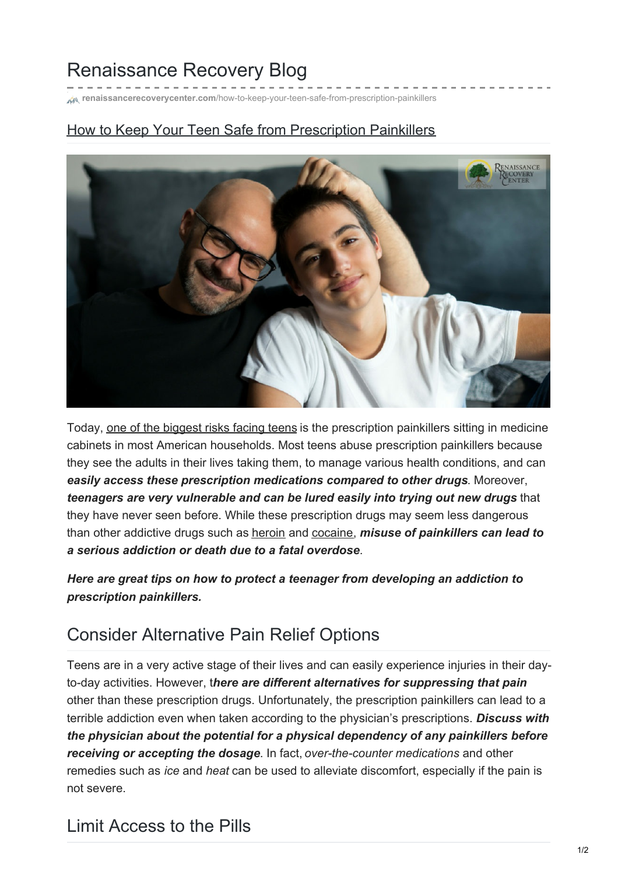# Renaissance Recovery Blog

**renaissancerecoverycenter.com**[/how-to-keep-your-teen-safe-from-prescription-painkillers](https://www.renaissancerecoverycenter.com/how-to-keep-your-teen-safe-from-prescription-painkillers/)

#### How to Keep Your Teen Safe from Prescription Painkillers



Today, one of the [biggest](https://www.renaissancerecoverycenter.com/recognizing-the-risk-factors-for-addiction/) risks facing teens is the prescription painkillers sitting in medicine cabinets in most American households. Most teens abuse prescription painkillers because they see the adults in their lives taking them, to manage various health conditions, and can *easily access these prescription medications compared to other drugs*. Moreover, *teenagers are very vulnerable and can be lured easily into trying out new drugs* that they have never seen before. While these prescription drugs may seem less dangerous than other addictive drugs such as [heroin](https://www.renaissancerecoverycenter.com/addiction/heroin-addiction/) and [cocaine](https://www.renaissancerecoverycenter.com/addiction/cocaine-addiction-treatment-crack-cocaine/), *misuse of painkillers can lead to a serious addiction or death due to a fatal overdose*.

*Here are great tips on how to protect a teenager from developing an addiction to prescription painkillers.*

### Consider Alternative Pain Relief Options

Teens are in a very active stage of their lives and can easily experience injuries in their dayto-day activities. However, t*here are different alternatives for suppressing that pain* other than these prescription drugs. Unfortunately, the prescription painkillers can lead to a terrible addiction even when taken according to the physician's prescriptions. *Discuss with the physician about the potential for a physical dependency of any painkillers before receiving or accepting the dosage*. In fact, *over-the-counter medications* and other remedies such as *ice* and *heat* can be used to alleviate discomfort, especially if the pain is not severe.

### Limit Access to the Pills